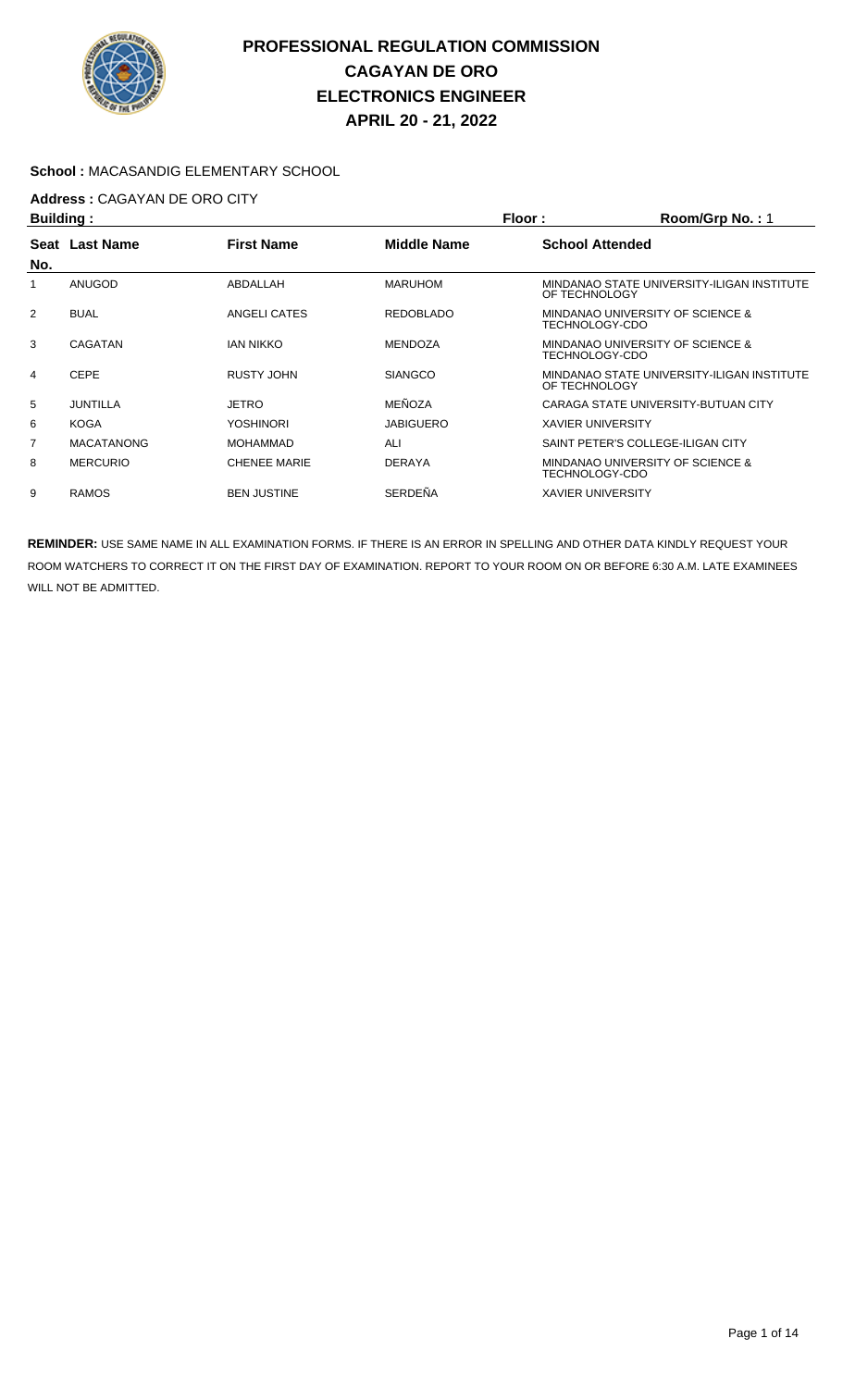

### **School :** MACASANDIG ELEMENTARY SCHOOL

# **Address :** CAGAYAN DE ORO CITY

| <b>Building:</b> |                   |                     | Floor:             | Room/Grp No.: 1                                             |
|------------------|-------------------|---------------------|--------------------|-------------------------------------------------------------|
| Seat<br>No.      | <b>Last Name</b>  | <b>First Name</b>   | <b>Middle Name</b> | <b>School Attended</b>                                      |
|                  | ANUGOD            | ABDALLAH            | <b>MARUHOM</b>     | MINDANAO STATE UNIVERSITY-ILIGAN INSTITUTE<br>OF TECHNOLOGY |
| 2                | <b>BUAL</b>       | ANGELI CATES        | <b>REDOBLADO</b>   | MINDANAO UNIVERSITY OF SCIENCE &<br>TECHNOLOGY-CDO          |
| 3                | CAGATAN           | <b>IAN NIKKO</b>    | <b>MENDOZA</b>     | MINDANAO UNIVERSITY OF SCIENCE &<br>TECHNOLOGY-CDO          |
| 4                | <b>CEPE</b>       | RUSTY JOHN          | <b>SIANGCO</b>     | MINDANAO STATE UNIVERSITY-ILIGAN INSTITUTE<br>OF TECHNOLOGY |
| 5                | JUNTILLA          | JETRO               | MEÑOZA             | CARAGA STATE UNIVERSITY-BUTUAN CITY                         |
| 6                | <b>KOGA</b>       | <b>YOSHINORI</b>    | <b>JABIGUERO</b>   | <b>XAVIER UNIVERSITY</b>                                    |
| $\overline{7}$   | <b>MACATANONG</b> | <b>MOHAMMAD</b>     | ALI                | SAINT PETER'S COLLEGE-ILIGAN CITY                           |
| 8                | <b>MERCURIO</b>   | <b>CHENEE MARIE</b> | <b>DERAYA</b>      | MINDANAO UNIVERSITY OF SCIENCE &<br>TECHNOLOGY-CDO          |
| 9                | <b>RAMOS</b>      | <b>BEN JUSTINE</b>  | SERDEÑA            | <b>XAVIER UNIVERSITY</b>                                    |
|                  |                   |                     |                    |                                                             |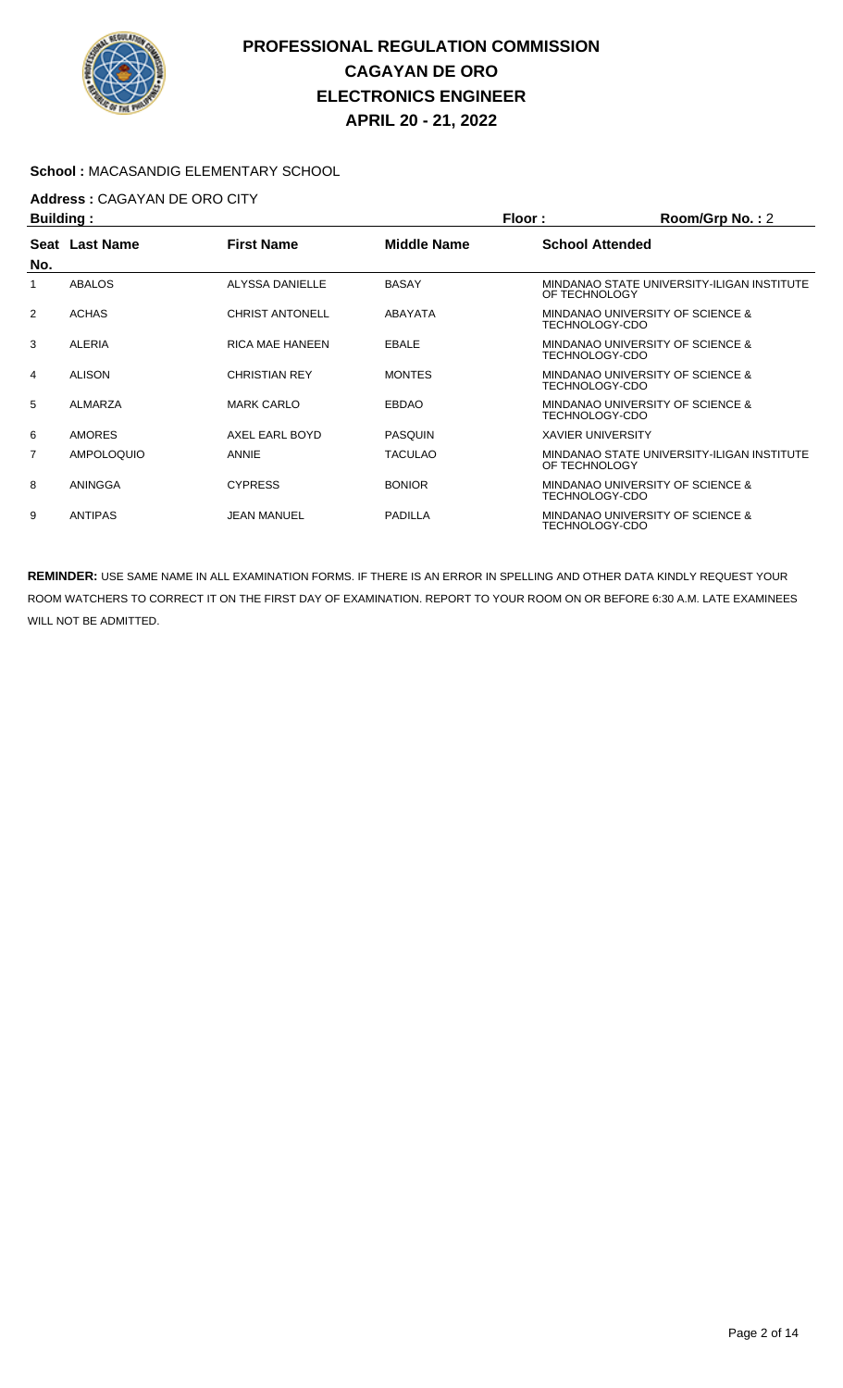

### **School :** MACASANDIG ELEMENTARY SCHOOL

## **Address :** CAGAYAN DE ORO CITY

| <b>Building:</b> |                   |                        |                    | Floor:                   | Room/Grp No.: 2                                    |  |
|------------------|-------------------|------------------------|--------------------|--------------------------|----------------------------------------------------|--|
| No.              | Seat Last Name    | <b>First Name</b>      | <b>Middle Name</b> | <b>School Attended</b>   |                                                    |  |
|                  | <b>ABALOS</b>     | ALYSSA DANIELLE        | <b>BASAY</b>       | OF TECHNOLOGY            | MINDANAO STATE UNIVERSITY-ILIGAN INSTITUTE         |  |
| $\overline{2}$   | <b>ACHAS</b>      | <b>CHRIST ANTONELL</b> | ABAYATA            |                          | MINDANAO UNIVERSITY OF SCIENCE &<br>TECHNOLOGY-CDO |  |
| 3                | ALERIA            | <b>RICA MAE HANEEN</b> | <b>EBALE</b>       |                          | MINDANAO UNIVERSITY OF SCIENCE &<br>TECHNOLOGY-CDO |  |
| 4                | <b>ALISON</b>     | <b>CHRISTIAN REY</b>   | <b>MONTES</b>      | TECHNOLOGY-CDO           | MINDANAO UNIVERSITY OF SCIENCE &                   |  |
| 5                | <b>ALMARZA</b>    | <b>MARK CARLO</b>      | <b>EBDAO</b>       | TECHNOLOGY-CDO           | MINDANAO UNIVERSITY OF SCIENCE &                   |  |
| 6                | <b>AMORES</b>     | AXEL EARL BOYD         | <b>PASQUIN</b>     | <b>XAVIER UNIVERSITY</b> |                                                    |  |
| 7                | <b>AMPOLOQUIO</b> | <b>ANNIE</b>           | <b>TACULAO</b>     | OF TECHNOLOGY            | MINDANAO STATE UNIVERSITY-ILIGAN INSTITUTE         |  |
| 8                | ANINGGA           | <b>CYPRESS</b>         | <b>BONIOR</b>      | TECHNOLOGY-CDO           | MINDANAO UNIVERSITY OF SCIENCE &                   |  |
| 9                | <b>ANTIPAS</b>    | JEAN MANUEL            | <b>PADILLA</b>     | <b>TECHNOLOGY-CDO</b>    | MINDANAO UNIVERSITY OF SCIENCE &                   |  |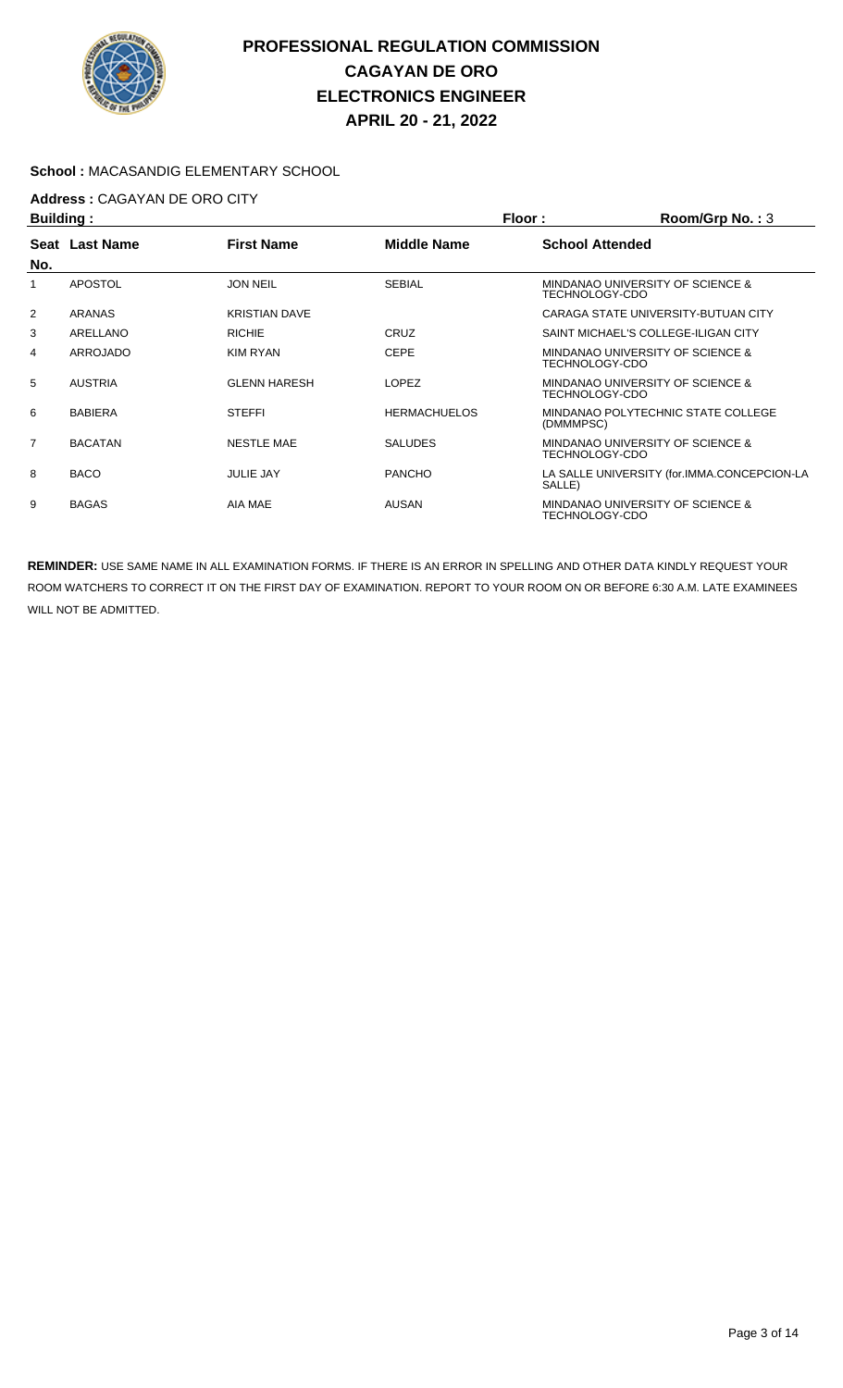

### **School :** MACASANDIG ELEMENTARY SCHOOL

# **Address :** CAGAYAN DE ORO CITY

| <b>Building:</b> |                |                      |                     | Room/Grp No.: 3<br>Floor: |                                             |  |
|------------------|----------------|----------------------|---------------------|---------------------------|---------------------------------------------|--|
|                  | Seat Last Name | <b>First Name</b>    | Middle Name         | <b>School Attended</b>    |                                             |  |
| No.              |                |                      |                     |                           |                                             |  |
|                  | <b>APOSTOL</b> | <b>JON NEIL</b>      | <b>SEBIAL</b>       | TECHNOLOGY-CDO            | MINDANAO UNIVERSITY OF SCIENCE &            |  |
| 2                | ARANAS         | <b>KRISTIAN DAVE</b> |                     |                           | CARAGA STATE UNIVERSITY-BUTUAN CITY         |  |
| 3                | ARELLANO       | <b>RICHIE</b>        | CRUZ                |                           | SAINT MICHAEL'S COLLEGE-ILIGAN CITY         |  |
| 4                | ARROJADO       | <b>KIM RYAN</b>      | <b>CEPE</b>         | TECHNOLOGY-CDO            | MINDANAO UNIVERSITY OF SCIENCE &            |  |
| 5                | <b>AUSTRIA</b> | <b>GLENN HARESH</b>  | <b>LOPEZ</b>        | TECHNOLOGY-CDO            | MINDANAO UNIVERSITY OF SCIENCE &            |  |
| 6                | <b>BABIERA</b> | <b>STEFFI</b>        | <b>HERMACHUELOS</b> | (DMMMPSC)                 | MINDANAO POLYTECHNIC STATE COLLEGE          |  |
| $\overline{7}$   | <b>BACATAN</b> | <b>NESTLE MAE</b>    | <b>SALUDES</b>      | TECHNOLOGY-CDO            | MINDANAO UNIVERSITY OF SCIENCE &            |  |
| 8                | <b>BACO</b>    | <b>JULIE JAY</b>     | <b>PANCHO</b>       | SALLE)                    | LA SALLE UNIVERSITY (for.IMMA.CONCEPCION-LA |  |
| 9                | <b>BAGAS</b>   | AIA MAE              | AUSAN               | TECHNOLOGY-CDO            | MINDANAO UNIVERSITY OF SCIENCE &            |  |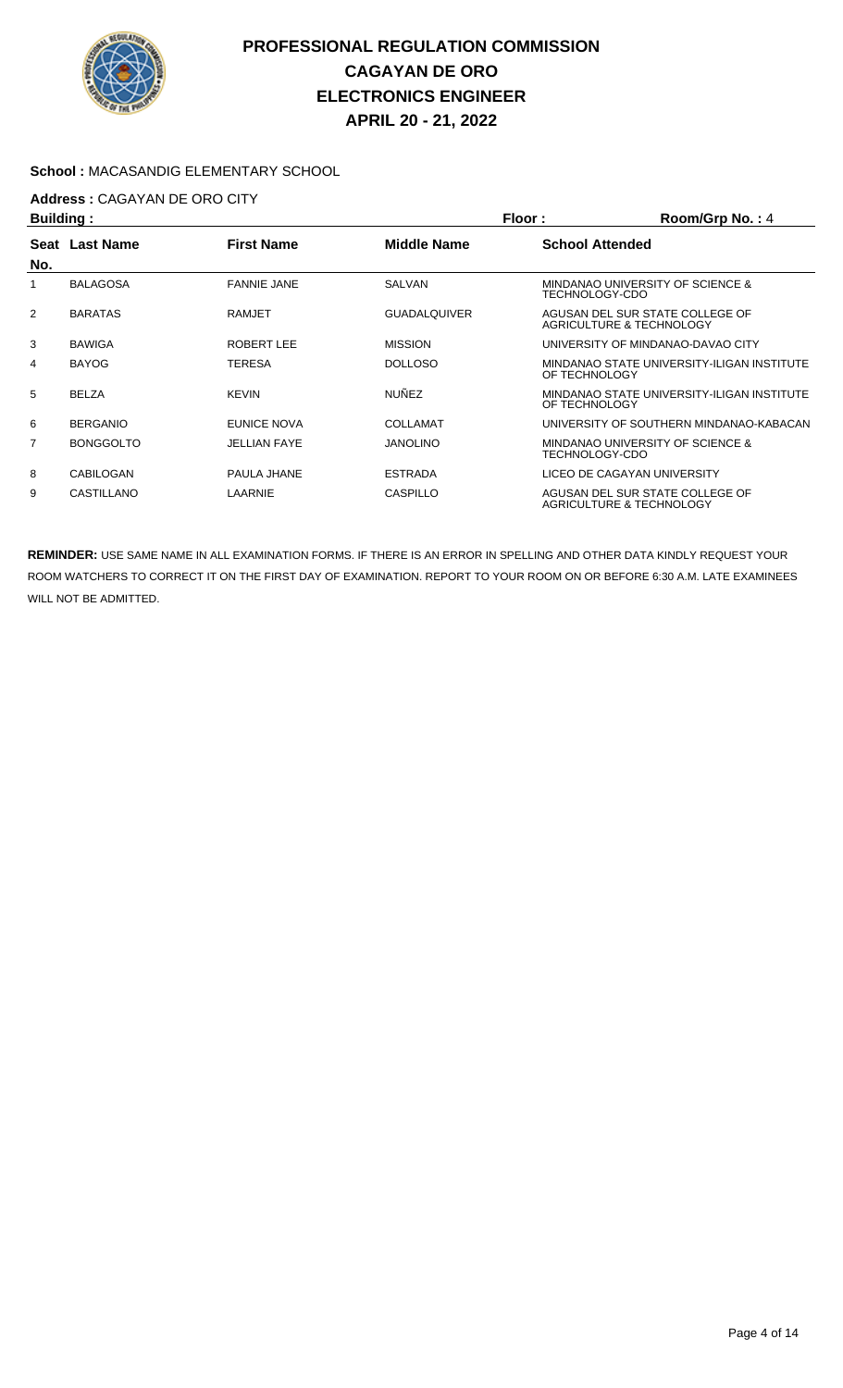

### **School :** MACASANDIG ELEMENTARY SCHOOL

# **Address :** CAGAYAN DE ORO CITY

| <b>Building:</b> |                  |                     | Floor:              | Room/Grp No.: 4                                             |                                                             |
|------------------|------------------|---------------------|---------------------|-------------------------------------------------------------|-------------------------------------------------------------|
| Seat<br>No.      | <b>Last Name</b> | <b>First Name</b>   | Middle Name         | <b>School Attended</b>                                      |                                                             |
|                  | <b>BALAGOSA</b>  | <b>FANNIE JANE</b>  | <b>SALVAN</b>       | TECHNOLOGY-CDO                                              | MINDANAO UNIVERSITY OF SCIENCE &                            |
| $\overline{2}$   | <b>BARATAS</b>   | <b>RAMJET</b>       | <b>GUADALQUIVER</b> | AGUSAN DEL SUR STATE COLLEGE OF<br>AGRICULTURE & TECHNOLOGY |                                                             |
| 3                | <b>BAWIGA</b>    | ROBERT LEE          | <b>MISSION</b>      |                                                             | UNIVERSITY OF MINDANAO-DAVAO CITY                           |
| 4                | <b>BAYOG</b>     | TERESA              | <b>DOLLOSO</b>      | OF TECHNOLOGY                                               | MINDANAO STATE UNIVERSITY-ILIGAN INSTITUTE                  |
| 5                | <b>BELZA</b>     | <b>KEVIN</b>        | <b>NUNEZ</b>        | OF TECHNOLOGY                                               | MINDANAO STATE UNIVERSITY-ILIGAN INSTITUTE                  |
| 6                | <b>BERGANIO</b>  | EUNICE NOVA         | <b>COLLAMAT</b>     |                                                             | UNIVERSITY OF SOUTHERN MINDANAO-KABACAN                     |
| 7                | <b>BONGGOLTO</b> | <b>JELLIAN FAYE</b> | <b>JANOLINO</b>     | MINDANAO UNIVERSITY OF SCIENCE &<br>TECHNOLOGY-CDO          |                                                             |
| 8                | CABILOGAN        | PAULA JHANE         | <b>ESTRADA</b>      |                                                             | LICEO DE CAGAYAN UNIVERSITY                                 |
| 9                | CASTILLANO       | LAARNIE             | CASPILLO            |                                                             | AGUSAN DEL SUR STATE COLLEGE OF<br>AGRICULTURE & TECHNOLOGY |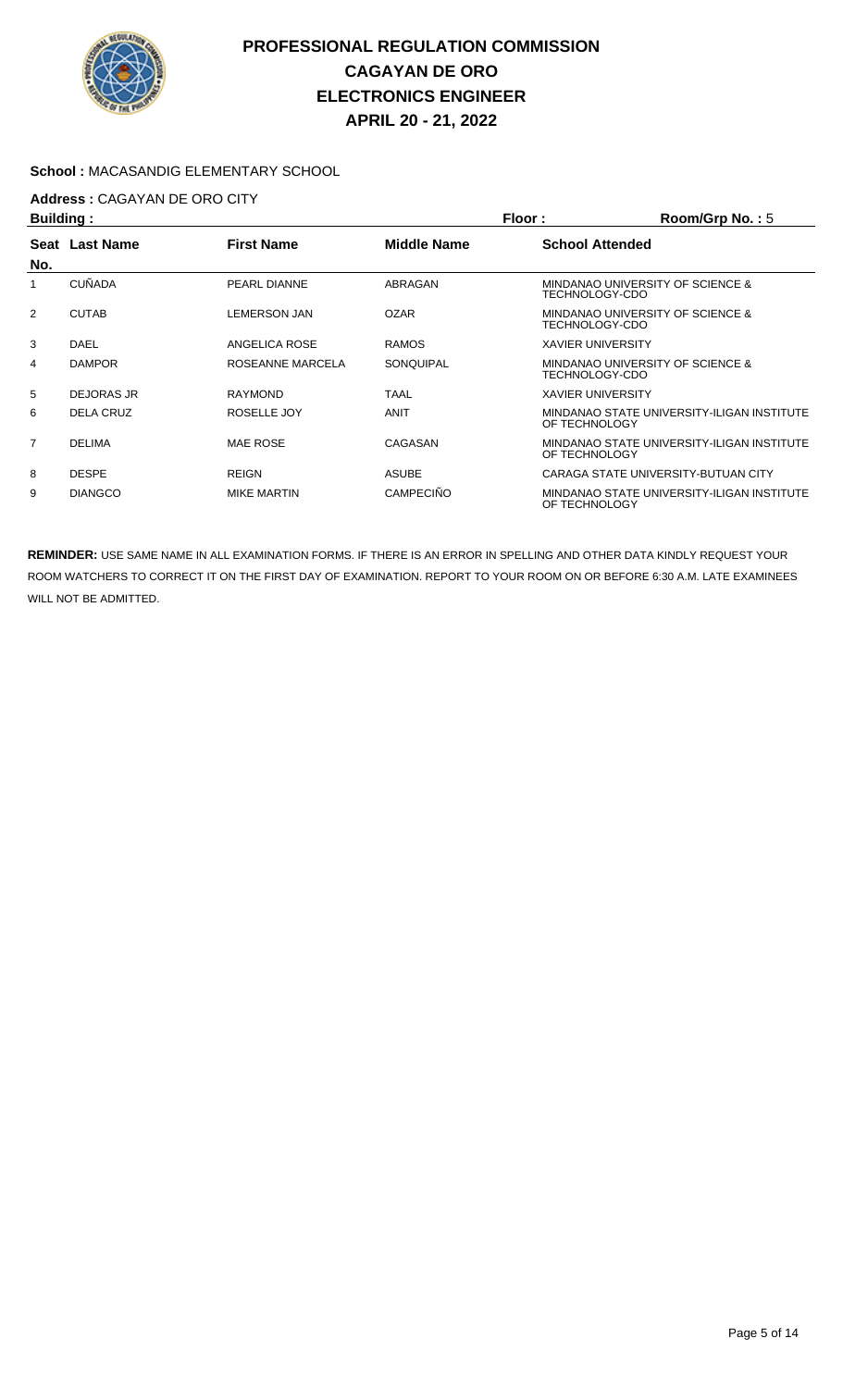

### **School :** MACASANDIG ELEMENTARY SCHOOL

# **Address :** CAGAYAN DE ORO CITY

| <b>Building:</b> |                  |                     | Floor:<br>Room/Grp No.: 5 |                          |                                             |
|------------------|------------------|---------------------|---------------------------|--------------------------|---------------------------------------------|
| No.              | Seat Last Name   | <b>First Name</b>   | Middle Name               | <b>School Attended</b>   |                                             |
|                  | <b>CUÑADA</b>    | PEARL DIANNE        | ABRAGAN                   | TECHNOLOGY-CDO           | MINDANAO UNIVERSITY OF SCIENCE &            |
| $\overline{2}$   | <b>CUTAB</b>     | <b>LEMERSON JAN</b> | <b>OZAR</b>               | TECHNOLOGY-CDO           | MINDANAO UNIVERSITY OF SCIENCE &            |
| 3                | DAEL             | ANGELICA ROSE       | <b>RAMOS</b>              | <b>XAVIER UNIVERSITY</b> |                                             |
| 4                | <b>DAMPOR</b>    | ROSEANNE MARCELA    | SONQUIPAL                 | TECHNOLOGY-CDO           | <b>MINDANAO UNIVERSITY OF SCIENCE &amp;</b> |
| 5                | DEJORAS JR       | <b>RAYMOND</b>      | <b>TAAL</b>               | <b>XAVIER UNIVERSITY</b> |                                             |
| 6                | <b>DELA CRUZ</b> | ROSELLE JOY         | ANIT                      | OF TECHNOLOGY            | MINDANAO STATE UNIVERSITY-ILIGAN INSTITUTE  |
| $\overline{7}$   | <b>DELIMA</b>    | <b>MAE ROSE</b>     | CAGASAN                   | OF TECHNOLOGY            | MINDANAO STATE UNIVERSITY-ILIGAN INSTITUTE  |
| 8                | <b>DESPE</b>     | <b>REIGN</b>        | <b>ASUBE</b>              |                          | CARAGA STATE UNIVERSITY-BUTUAN CITY         |
| 9                | <b>DIANGCO</b>   | <b>MIKE MARTIN</b>  | <b>CAMPECINO</b>          | OF TECHNOLOGY            | MINDANAO STATE UNIVERSITY-ILIGAN INSTITUTE  |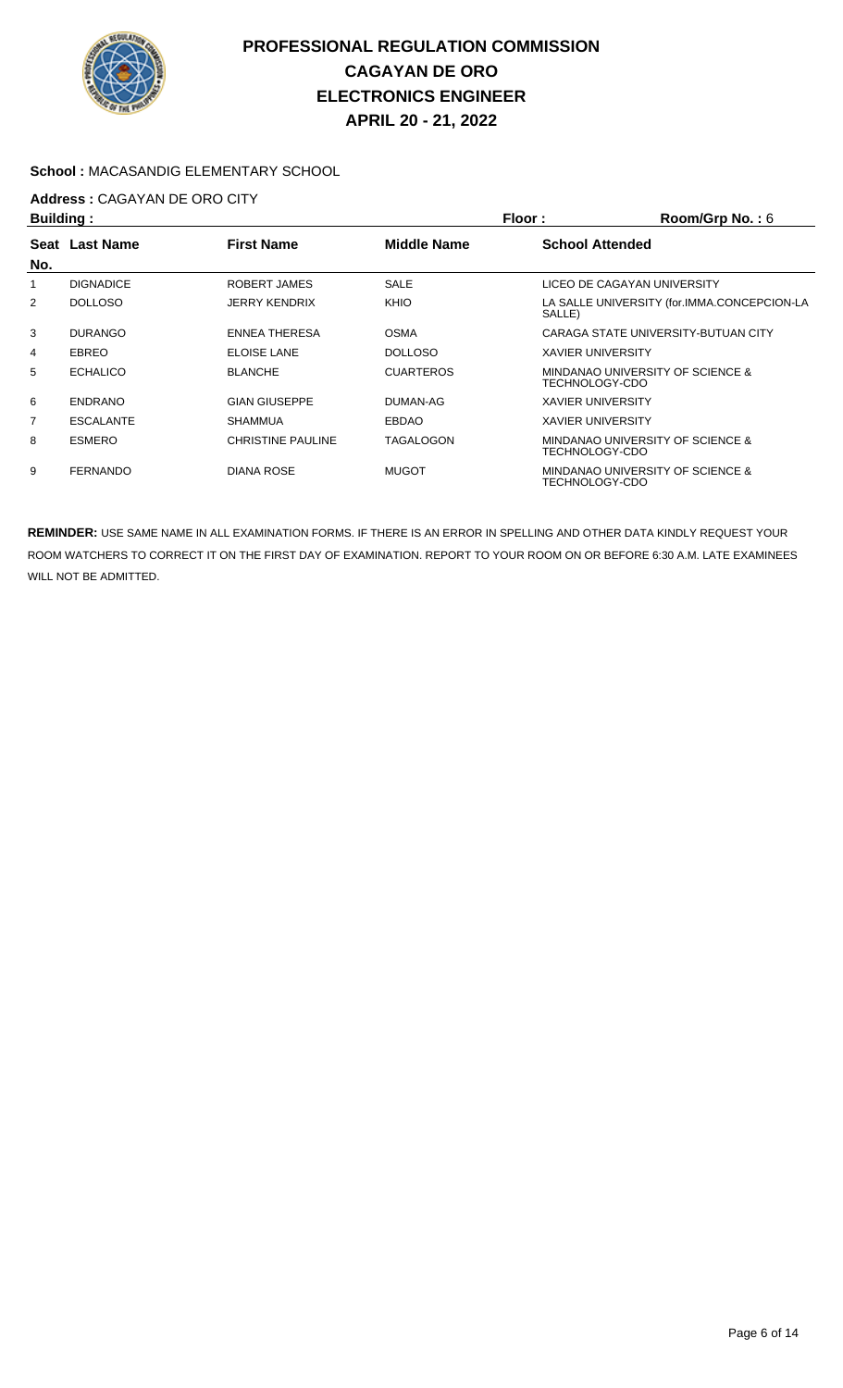

### **School :** MACASANDIG ELEMENTARY SCHOOL

# **Address :** CAGAYAN DE ORO CITY

| <b>Building:</b> |                  |                          |                    | Floor:                   | Room/Grp No.: 6                             |
|------------------|------------------|--------------------------|--------------------|--------------------------|---------------------------------------------|
| Seat             | <b>Last Name</b> | <b>First Name</b>        | <b>Middle Name</b> | <b>School Attended</b>   |                                             |
| No.              |                  |                          |                    |                          |                                             |
|                  | <b>DIGNADICE</b> | ROBERT JAMES             | <b>SALE</b>        |                          | LICEO DE CAGAYAN UNIVERSITY                 |
| 2                | <b>DOLLOSO</b>   | <b>JERRY KENDRIX</b>     | KHIO               | SALLE)                   | LA SALLE UNIVERSITY (for.IMMA.CONCEPCION-LA |
| 3                | <b>DURANGO</b>   | <b>ENNEA THERESA</b>     | <b>OSMA</b>        |                          | CARAGA STATE UNIVERSITY-BUTUAN CITY         |
| 4                | <b>EBREO</b>     | <b>ELOISE LANE</b>       | <b>DOLLOSO</b>     | <b>XAVIER UNIVERSITY</b> |                                             |
| 5                | <b>ECHALICO</b>  | <b>BLANCHE</b>           | <b>CUARTEROS</b>   | TECHNOLOGY-CDO           | MINDANAO UNIVERSITY OF SCIENCE &            |
| 6                | <b>ENDRANO</b>   | <b>GIAN GIUSEPPE</b>     | DUMAN-AG           | <b>XAVIER UNIVERSITY</b> |                                             |
| 7                | <b>ESCALANTE</b> | <b>SHAMMUA</b>           | <b>EBDAO</b>       | <b>XAVIER UNIVERSITY</b> |                                             |
| 8                | <b>ESMERO</b>    | <b>CHRISTINE PAULINE</b> | TAGALOGON          | TECHNOLOGY-CDO           | MINDANAO UNIVERSITY OF SCIENCE &            |
| 9                | <b>FERNANDO</b>  | <b>DIANA ROSE</b>        | <b>MUGOT</b>       | TECHNOLOGY-CDO           | MINDANAO UNIVERSITY OF SCIENCE &            |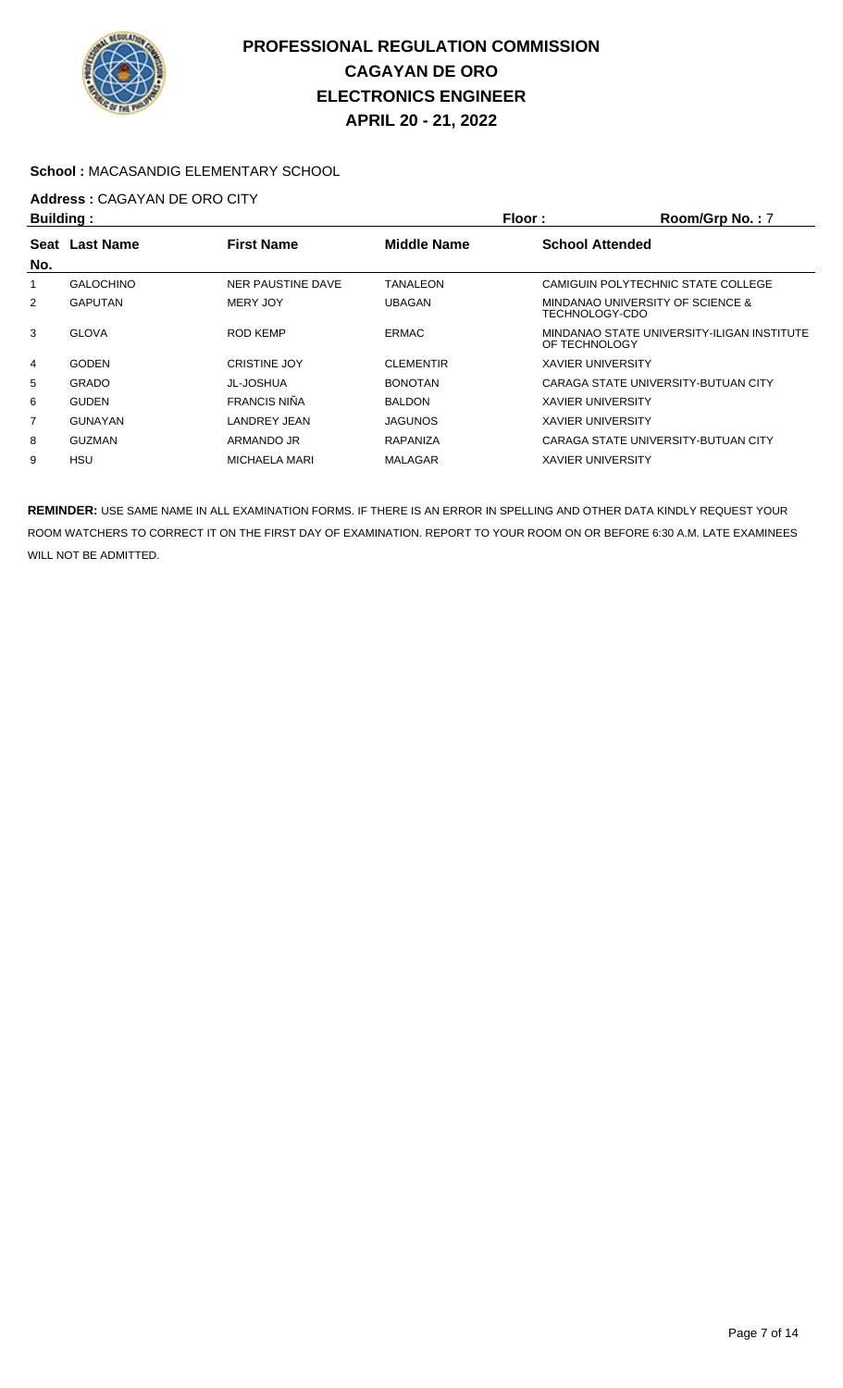

### **School :** MACASANDIG ELEMENTARY SCHOOL

# **Address :** CAGAYAN DE ORO CITY

| <b>Building:</b> |                  |                      |                    | Floor:                   | Room/Grp No.: 7                            |
|------------------|------------------|----------------------|--------------------|--------------------------|--------------------------------------------|
| Seat             | <b>Last Name</b> | <b>First Name</b>    | <b>Middle Name</b> | <b>School Attended</b>   |                                            |
| No.              |                  |                      |                    |                          |                                            |
|                  | <b>GALOCHINO</b> | NER PAUSTINE DAVE    | TANALEON           |                          | CAMIGUIN POLYTECHNIC STATE COLLEGE         |
| 2                | <b>GAPUTAN</b>   | MERY JOY             | <b>UBAGAN</b>      | TECHNOLOGY-CDO           | MINDANAO UNIVERSITY OF SCIENCE &           |
| 3                | <b>GLOVA</b>     | ROD KEMP             | <b>ERMAC</b>       | OF TECHNOLOGY            | MINDANAO STATE UNIVERSITY-ILIGAN INSTITUTE |
| 4                | <b>GODEN</b>     | <b>CRISTINE JOY</b>  | <b>CLEMENTIR</b>   | <b>XAVIER UNIVERSITY</b> |                                            |
| 5                | <b>GRADO</b>     | JL-JOSHUA            | <b>BONOTAN</b>     |                          | CARAGA STATE UNIVERSITY-BUTUAN CITY        |
| 6                | <b>GUDEN</b>     | <b>FRANCIS NIÑA</b>  | <b>BALDON</b>      | <b>XAVIER UNIVERSITY</b> |                                            |
| 7                | <b>GUNAYAN</b>   | <b>LANDREY JEAN</b>  | <b>JAGUNOS</b>     | <b>XAVIER UNIVERSITY</b> |                                            |
| 8                | <b>GUZMAN</b>    | ARMANDO JR           | <b>RAPANIZA</b>    |                          | CARAGA STATE UNIVERSITY-BUTUAN CITY        |
| 9                | HSU              | <b>MICHAELA MARI</b> | <b>MALAGAR</b>     | <b>XAVIER UNIVERSITY</b> |                                            |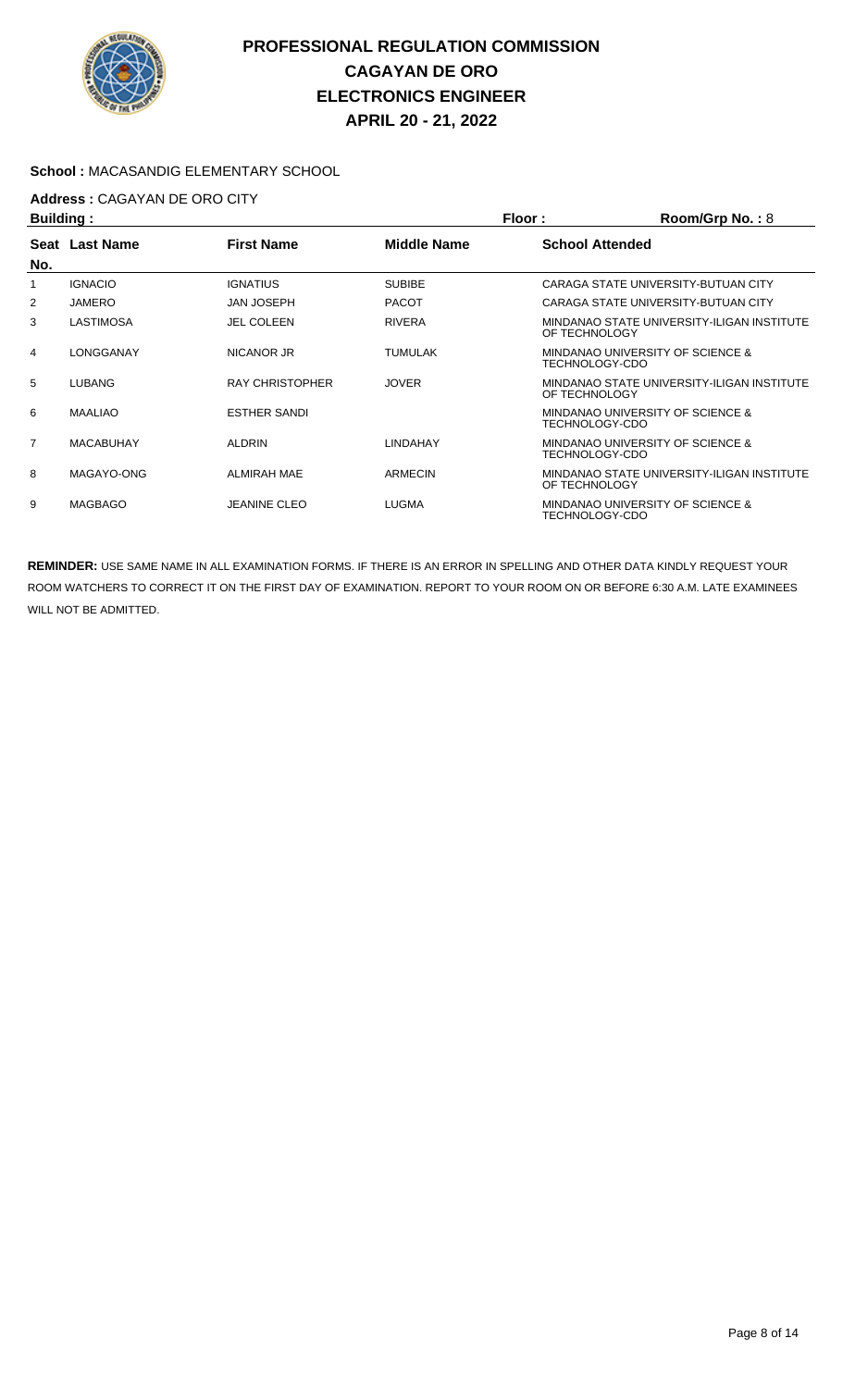

### **School :** MACASANDIG ELEMENTARY SCHOOL

# **Address :** CAGAYAN DE ORO CITY

| <b>Building:</b> |                  |                        | Floor:             | Room/Grp No.: 8                                             |
|------------------|------------------|------------------------|--------------------|-------------------------------------------------------------|
| No.              | Seat Last Name   | <b>First Name</b>      | <b>Middle Name</b> | <b>School Attended</b>                                      |
|                  | <b>IGNACIO</b>   | <b>IGNATIUS</b>        | <b>SUBIBE</b>      | CARAGA STATE UNIVERSITY-BUTUAN CITY                         |
| 2                | JAMERO           | <b>JAN JOSEPH</b>      | <b>PACOT</b>       | CARAGA STATE UNIVERSITY-BUTUAN CITY                         |
| 3                | <b>LASTIMOSA</b> | <b>JEL COLEEN</b>      | <b>RIVERA</b>      | MINDANAO STATE UNIVERSITY-ILIGAN INSTITUTE<br>OF TECHNOLOGY |
| 4                | LONGGANAY        | NICANOR JR             | <b>TUMULAK</b>     | MINDANAO UNIVERSITY OF SCIENCE &<br>TECHNOLOGY-CDO          |
| 5                | LUBANG           | <b>RAY CHRISTOPHER</b> | <b>JOVER</b>       | MINDANAO STATE UNIVERSITY-ILIGAN INSTITUTE<br>OF TECHNOLOGY |
| 6                | <b>MAALIAO</b>   | <b>ESTHER SANDI</b>    |                    | MINDANAO UNIVERSITY OF SCIENCE &<br>TECHNOLOGY-CDO          |
| $\overline{7}$   | <b>MACABUHAY</b> | <b>ALDRIN</b>          | LINDAHAY           | MINDANAO UNIVERSITY OF SCIENCE &<br>TECHNOLOGY-CDO          |
| 8                | MAGAYO-ONG       | ALMIRAH MAE            | ARMECIN            | MINDANAO STATE UNIVERSITY-ILIGAN INSTITUTE<br>OF TECHNOLOGY |
| 9                | <b>MAGBAGO</b>   | <b>JEANINE CLEO</b>    | <b>LUGMA</b>       | MINDANAO UNIVERSITY OF SCIENCE &<br>TECHNOLOGY-CDO          |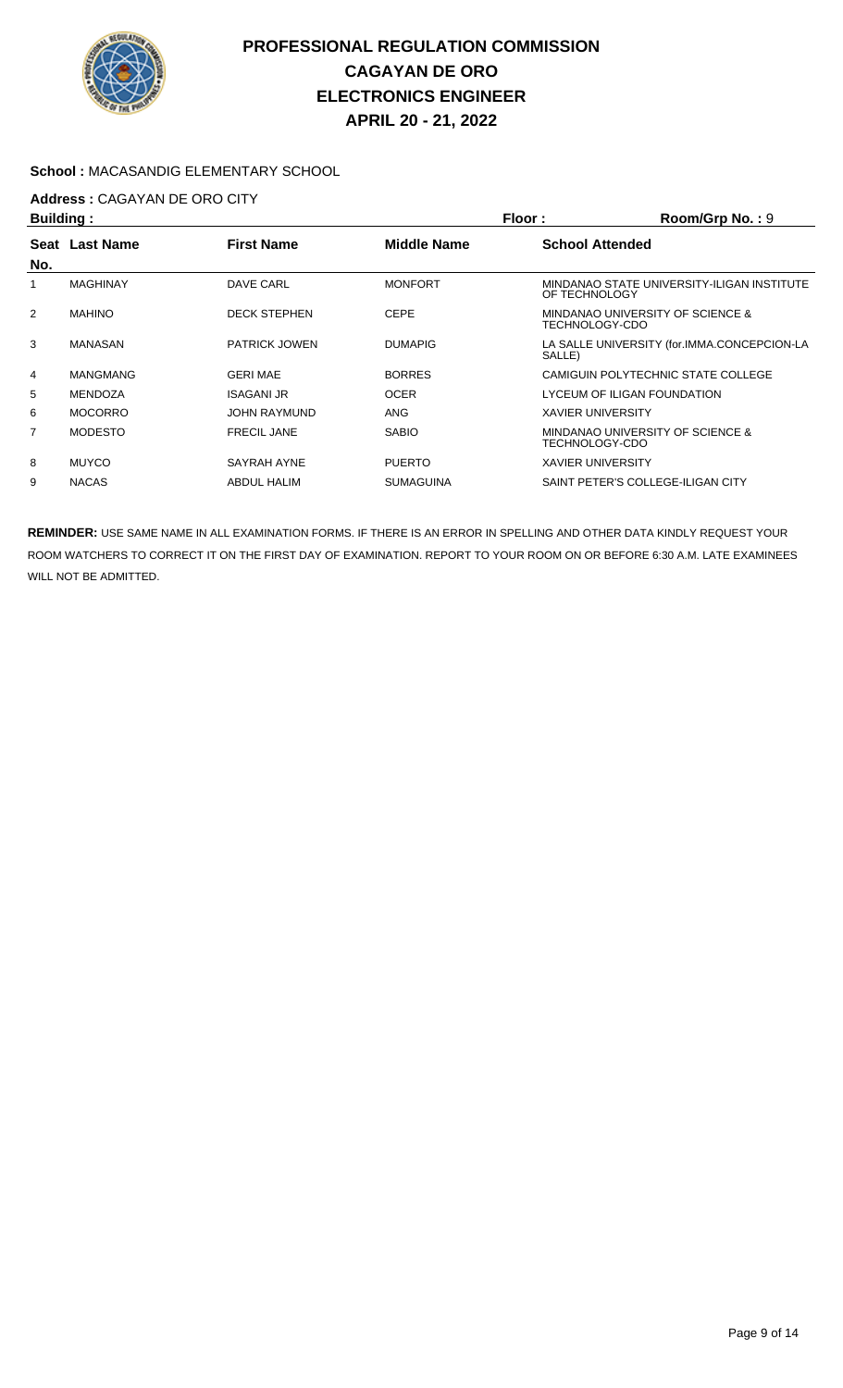

### **School :** MACASANDIG ELEMENTARY SCHOOL

## **Address :** CAGAYAN DE ORO CITY

| <b>Building:</b> |                |                      |                    | Floor:                   | Room/Grp No.: 9                             |
|------------------|----------------|----------------------|--------------------|--------------------------|---------------------------------------------|
|                  | Seat Last Name | <b>First Name</b>    | <b>Middle Name</b> | <b>School Attended</b>   |                                             |
| No.              |                |                      |                    |                          |                                             |
|                  | MAGHINAY       | DAVE CARL            | <b>MONFORT</b>     | OF TECHNOLOGY            | MINDANAO STATE UNIVERSITY-ILIGAN INSTITUTE  |
| 2                | <b>MAHINO</b>  | <b>DECK STEPHEN</b>  | <b>CEPE</b>        | TECHNOLOGY-CDO           | MINDANAO UNIVERSITY OF SCIENCE &            |
| 3                | MANASAN        | <b>PATRICK JOWEN</b> | <b>DUMAPIG</b>     | SALLE)                   | LA SALLE UNIVERSITY (for.IMMA.CONCEPCION-LA |
| 4                | MANGMANG       | <b>GERI MAE</b>      | <b>BORRES</b>      |                          | CAMIGUIN POLYTECHNIC STATE COLLEGE          |
| 5                | MENDOZA        | <b>ISAGANI JR</b>    | <b>OCER</b>        |                          | LYCEUM OF ILIGAN FOUNDATION                 |
| 6                | <b>MOCORRO</b> | JOHN RAYMUND         | ANG                | <b>XAVIER UNIVERSITY</b> |                                             |
| 7                | <b>MODESTO</b> | <b>FRECIL JANE</b>   | <b>SABIO</b>       | TECHNOLOGY-CDO           | MINDANAO UNIVERSITY OF SCIENCE &            |
| 8                | <b>MUYCO</b>   | SAYRAH AYNE          | <b>PUERTO</b>      | <b>XAVIER UNIVERSITY</b> |                                             |
| 9                | <b>NACAS</b>   | <b>ABDUL HALIM</b>   | <b>SUMAGUINA</b>   |                          | SAINT PETER'S COLLEGE-ILIGAN CITY           |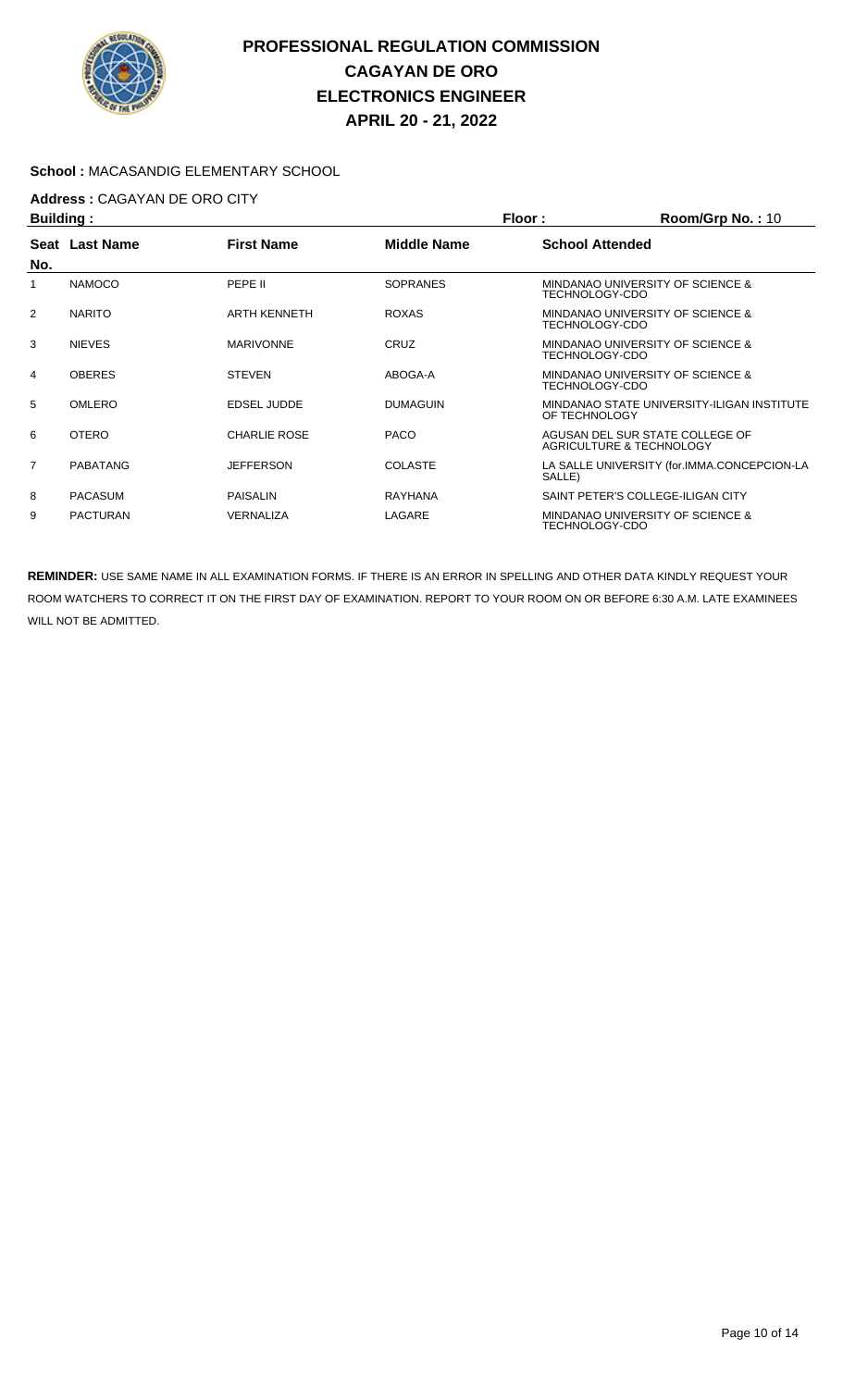

### **School :** MACASANDIG ELEMENTARY SCHOOL

# **Address :** CAGAYAN DE ORO CITY

| <b>Building:</b> |                 |                     | Floor:<br>Room/Grp No.: 10 |                        |                                                             |
|------------------|-----------------|---------------------|----------------------------|------------------------|-------------------------------------------------------------|
| No.              | Seat Last Name  | <b>First Name</b>   | <b>Middle Name</b>         | <b>School Attended</b> |                                                             |
|                  | <b>NAMOCO</b>   | PEPE II             | <b>SOPRANES</b>            | TECHNOLOGY-CDO         | MINDANAO UNIVERSITY OF SCIENCE &                            |
| 2                | <b>NARITO</b>   | <b>ARTH KENNETH</b> | <b>ROXAS</b>               | TECHNOLOGY-CDO         | MINDANAO UNIVERSITY OF SCIENCE &                            |
| 3                | <b>NIEVES</b>   | <b>MARIVONNE</b>    | <b>CRUZ</b>                | TECHNOLOGY-CDO         | MINDANAO UNIVERSITY OF SCIENCE &                            |
| 4                | <b>OBERES</b>   | <b>STEVEN</b>       | ABOGA-A                    | TECHNOLOGY-CDO         | MINDANAO UNIVERSITY OF SCIENCE &                            |
| 5                | <b>OMLERO</b>   | EDSEL JUDDE         | <b>DUMAGUIN</b>            | OF TECHNOLOGY          | MINDANAO STATE UNIVERSITY-ILIGAN INSTITUTE                  |
| 6                | <b>OTERO</b>    | <b>CHARLIE ROSE</b> | <b>PACO</b>                |                        | AGUSAN DEL SUR STATE COLLEGE OF<br>AGRICULTURE & TECHNOLOGY |
| $\overline{7}$   | PABATANG        | <b>JEFFERSON</b>    | <b>COLASTE</b>             | SALLE)                 | LA SALLE UNIVERSITY (for.IMMA.CONCEPCION-LA                 |
| 8                | <b>PACASUM</b>  | <b>PAISALIN</b>     | <b>RAYHANA</b>             |                        | SAINT PETER'S COLLEGE-ILIGAN CITY                           |
| 9                | <b>PACTURAN</b> | <b>VERNALIZA</b>    | LAGARE                     | TECHNOLOGY-CDO         | MINDANAO UNIVERSITY OF SCIENCE &                            |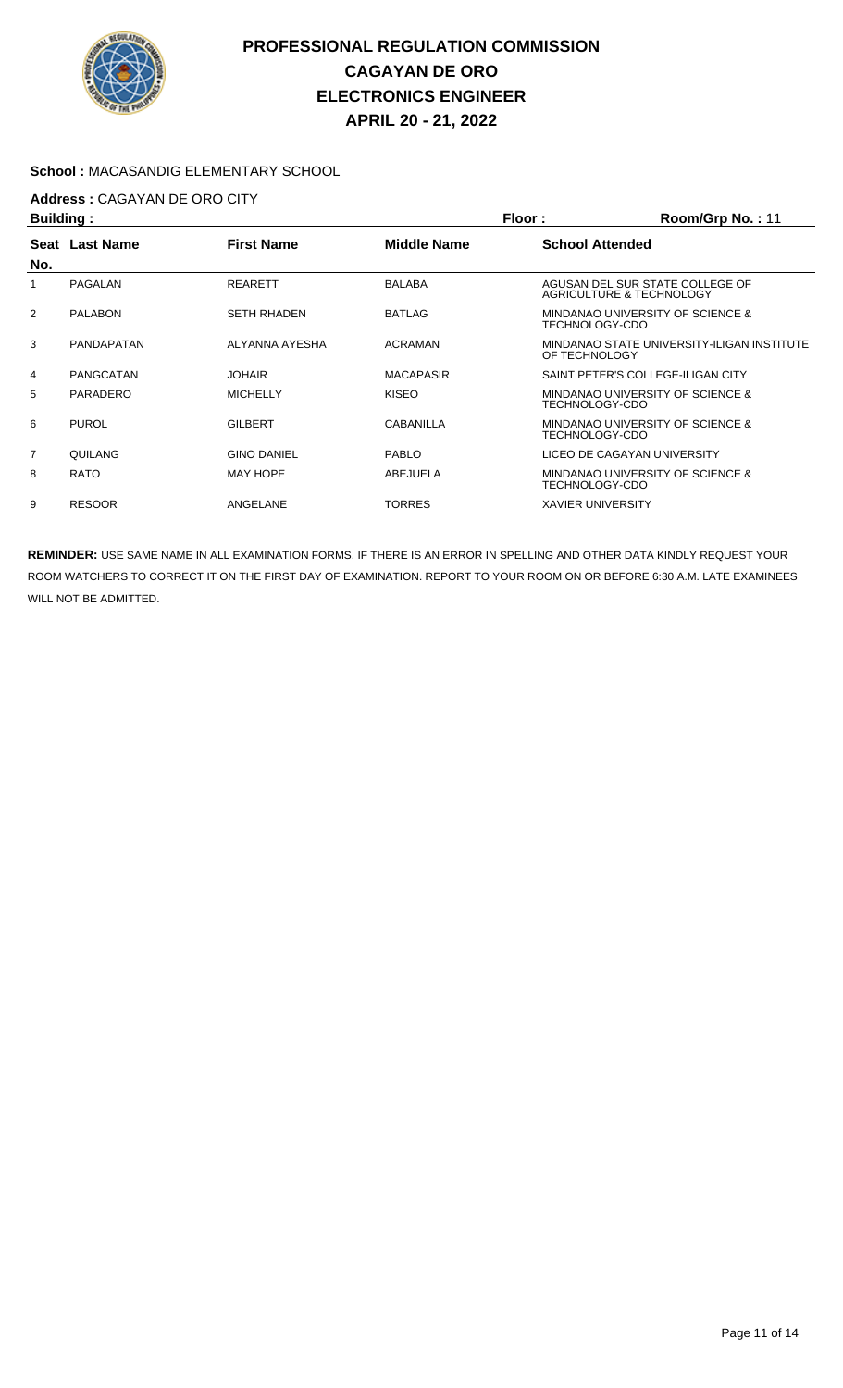

### **School :** MACASANDIG ELEMENTARY SCHOOL

## **Address :** CAGAYAN DE ORO CITY

| <b>Building:</b> |                   |                    | Floor:           | Room/Grp No.: 11                                            |
|------------------|-------------------|--------------------|------------------|-------------------------------------------------------------|
| Seat<br>No.      | <b>Last Name</b>  | <b>First Name</b>  | Middle Name      | <b>School Attended</b>                                      |
|                  | PAGALAN           | <b>REARETT</b>     | <b>BALABA</b>    | AGUSAN DEL SUR STATE COLLEGE OF<br>AGRICULTURE & TECHNOLOGY |
| $\overline{2}$   | <b>PALABON</b>    | <b>SETH RHADEN</b> | <b>BATLAG</b>    | MINDANAO UNIVERSITY OF SCIENCE &<br>TECHNOLOGY-CDO          |
| 3                | <b>PANDAPATAN</b> | ALYANNA AYESHA     | <b>ACRAMAN</b>   | MINDANAO STATE UNIVERSITY-ILIGAN INSTITUTE<br>OF TECHNOLOGY |
| 4                | PANGCATAN         | <b>JOHAIR</b>      | <b>MACAPASIR</b> | SAINT PETER'S COLLEGE-ILIGAN CITY                           |
| 5                | PARADERO          | <b>MICHELLY</b>    | <b>KISEO</b>     | MINDANAO UNIVERSITY OF SCIENCE &<br>TECHNOLOGY-CDO          |
| 6                | <b>PUROL</b>      | <b>GILBERT</b>     | CABANILLA        | MINDANAO UNIVERSITY OF SCIENCE &<br>TECHNOLOGY-CDO          |
| $\overline{7}$   | QUILANG           | <b>GINO DANIEL</b> | <b>PABLO</b>     | LICEO DE CAGAYAN UNIVERSITY                                 |
| 8                | <b>RATO</b>       | <b>MAY HOPE</b>    | ABEJUELA         | MINDANAO UNIVERSITY OF SCIENCE &<br>TECHNOLOGY-CDO          |
| 9                | <b>RESOOR</b>     | ANGELANE           | <b>TORRES</b>    | <b>XAVIER UNIVERSITY</b>                                    |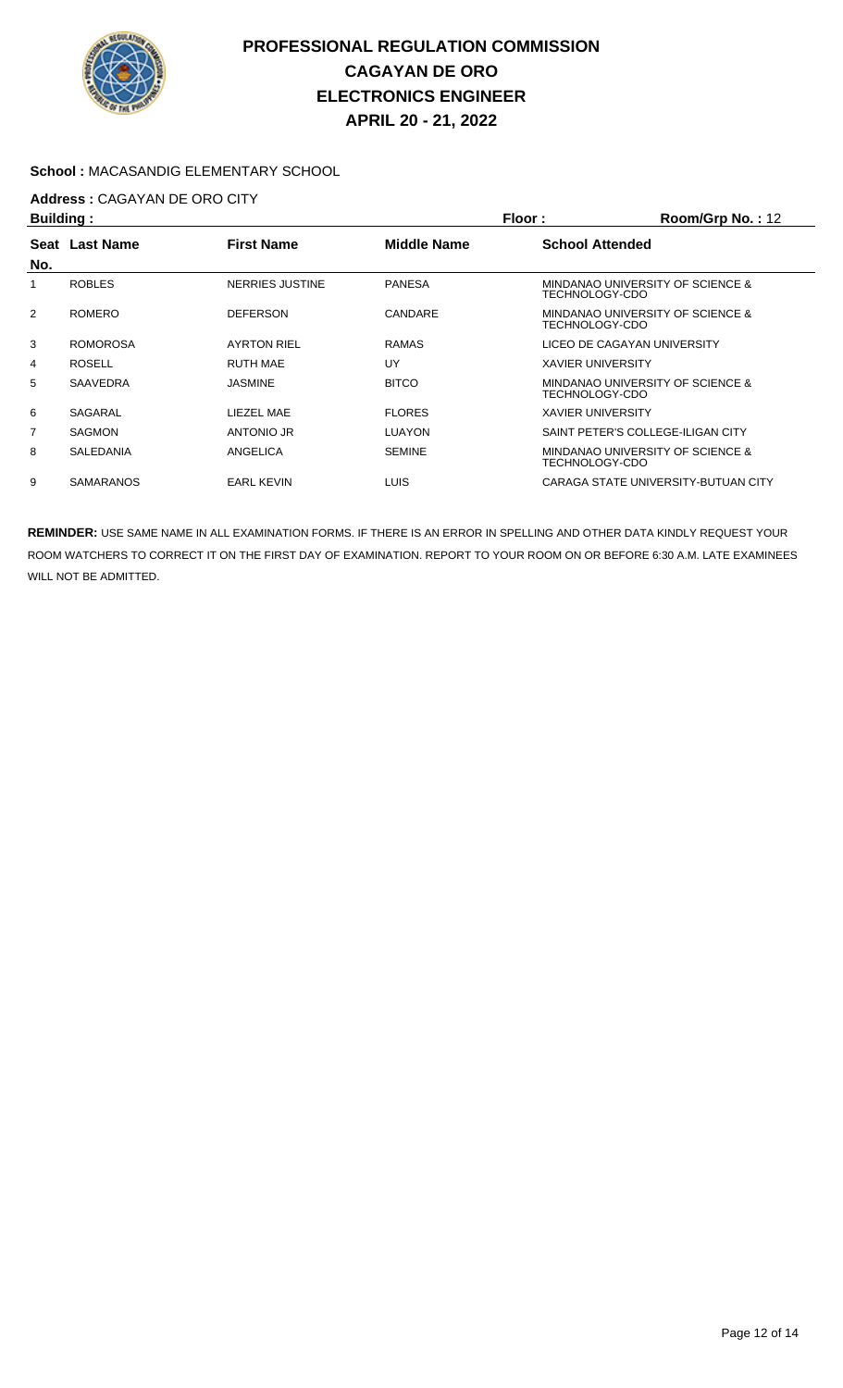

### **School :** MACASANDIG ELEMENTARY SCHOOL

## **Address :** CAGAYAN DE ORO CITY

| <b>Building:</b> |                  |                    | Floor:             | Room/Grp No.: 12            |                                     |
|------------------|------------------|--------------------|--------------------|-----------------------------|-------------------------------------|
|                  | Seat Last Name   | <b>First Name</b>  | <b>Middle Name</b> | <b>School Attended</b>      |                                     |
| No.              |                  |                    |                    |                             |                                     |
|                  | <b>ROBLES</b>    | NERRIES JUSTINE    | <b>PANESA</b>      | TECHNOLOGY-CDO              | MINDANAO UNIVERSITY OF SCIENCE &    |
| $\overline{2}$   | <b>ROMERO</b>    | <b>DEFERSON</b>    | CANDARE            | TECHNOLOGY-CDO              | MINDANAO UNIVERSITY OF SCIENCE &    |
| 3                | <b>ROMOROSA</b>  | <b>AYRTON RIEL</b> | <b>RAMAS</b>       | LICEO DE CAGAYAN UNIVERSITY |                                     |
| 4                | <b>ROSELL</b>    | <b>RUTH MAE</b>    | UY                 | <b>XAVIER UNIVERSITY</b>    |                                     |
| 5                | SAAVEDRA         | <b>JASMINE</b>     | <b>BITCO</b>       | TECHNOLOGY-CDO              | MINDANAO UNIVERSITY OF SCIENCE &    |
| 6                | SAGARAL          | LIEZEL MAE         | <b>FLORES</b>      | <b>XAVIER UNIVERSITY</b>    |                                     |
| $\overline{7}$   | <b>SAGMON</b>    | ANTONIO JR         | <b>LUAYON</b>      |                             | SAINT PETER'S COLLEGE-ILIGAN CITY   |
| 8                | <b>SALEDANIA</b> | ANGELICA           | <b>SEMINE</b>      | TECHNOLOGY-CDO              | MINDANAO UNIVERSITY OF SCIENCE &    |
| 9                | <b>SAMARANOS</b> | <b>EARL KEVIN</b>  | LUIS.              |                             | CARAGA STATE UNIVERSITY-BUTUAN CITY |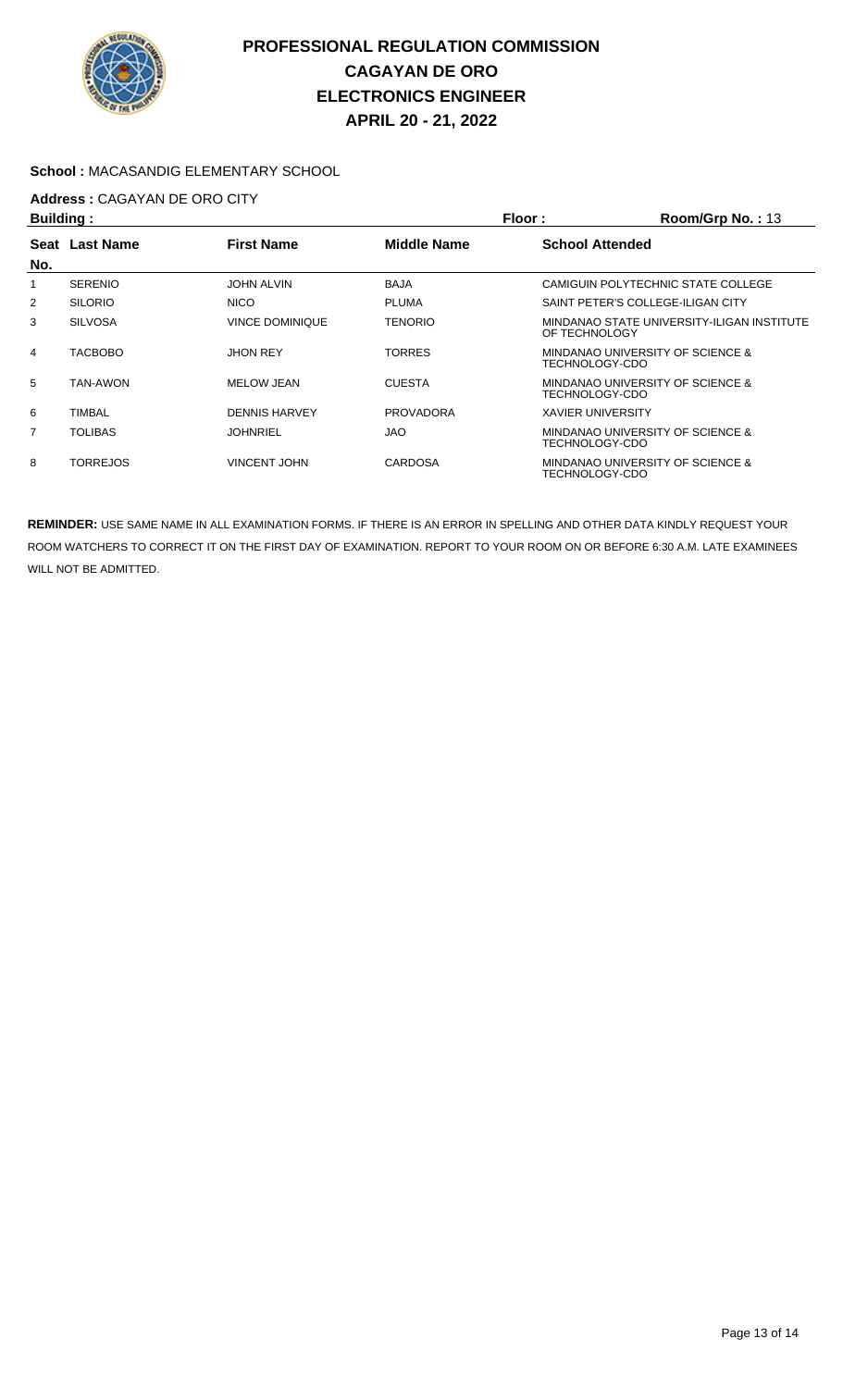

### **School :** MACASANDIG ELEMENTARY SCHOOL

# **Address :** CAGAYAN DE ORO CITY

| <b>Building:</b>                              |                 |                        |                        | Floor:<br>Room/Grp No.: 13 |                                            |
|-----------------------------------------------|-----------------|------------------------|------------------------|----------------------------|--------------------------------------------|
| <b>First Name</b><br><b>Last Name</b><br>Seat |                 | <b>Middle Name</b>     | <b>School Attended</b> |                            |                                            |
| No.                                           |                 |                        |                        |                            |                                            |
|                                               | <b>SERENIO</b>  | <b>JOHN ALVIN</b>      | <b>BAJA</b>            |                            | CAMIGUIN POLYTECHNIC STATE COLLEGE         |
| 2                                             | <b>SILORIO</b>  | <b>NICO</b>            | <b>PLUMA</b>           |                            | SAINT PETER'S COLLEGE-ILIGAN CITY          |
| 3                                             | <b>SILVOSA</b>  | <b>VINCE DOMINIQUE</b> | <b>TENORIO</b>         | OF TECHNOLOGY              | MINDANAO STATE UNIVERSITY-ILIGAN INSTITUTE |
| $\overline{4}$                                | <b>TACBOBO</b>  | <b>JHON REY</b>        | TORRES                 | TECHNOLOGY-CDO             | MINDANAO UNIVERSITY OF SCIENCE &           |
| 5                                             | TAN-AWON        | MELOW JEAN             | <b>CUESTA</b>          | TECHNOLOGY-CDO             | MINDANAO UNIVERSITY OF SCIENCE &           |
| 6                                             | <b>TIMBAL</b>   | <b>DENNIS HARVEY</b>   | <b>PROVADORA</b>       | <b>XAVIER UNIVERSITY</b>   |                                            |
| 7                                             | <b>TOLIBAS</b>  | <b>JOHNRIEL</b>        | <b>JAO</b>             | TECHNOLOGY-CDO             | MINDANAO UNIVERSITY OF SCIENCE &           |
| 8                                             | <b>TORREJOS</b> | <b>VINCENT JOHN</b>    | <b>CARDOSA</b>         | TECHNOLOGY-CDO             | MINDANAO UNIVERSITY OF SCIENCE &           |